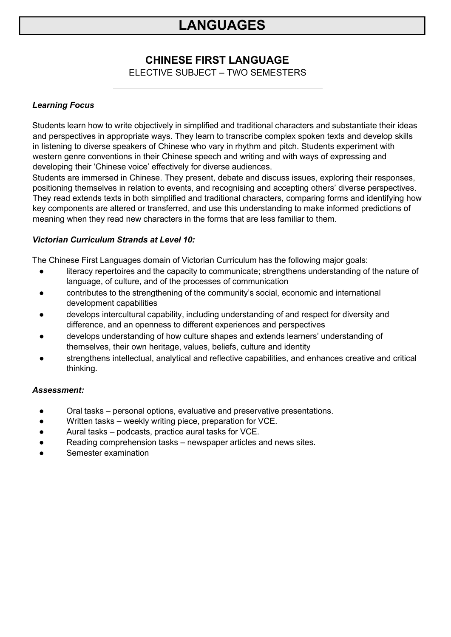### **CHINESE FIRST LANGUAGE**

ELECTIVE SUBJECT – TWO SEMESTERS

#### *Learning Focus*

Students learn how to write objectively in simplified and traditional characters and substantiate their ideas and perspectives in appropriate ways. They learn to transcribe complex spoken texts and develop skills in listening to diverse speakers of Chinese who vary in rhythm and pitch. Students experiment with western genre conventions in their Chinese speech and writing and with ways of expressing and developing their 'Chinese voice' effectively for diverse audiences.

Students are immersed in Chinese. They present, debate and discuss issues, exploring their responses, positioning themselves in relation to events, and recognising and accepting others' diverse perspectives. They read extends texts in both simplified and traditional characters, comparing forms and identifying how key components are altered or transferred, and use this understanding to make informed predictions of meaning when they read new characters in the forms that are less familiar to them.

#### *Victorian Curriculum Strands at Level 10:*

The Chinese First Languages domain of Victorian Curriculum has the following major goals:

- literacy repertoires and the capacity to communicate; strengthens understanding of the nature of language, of culture, and of the processes of communication
- contributes to the strengthening of the community's social, economic and international development capabilities
- develops intercultural capability, including understanding of and respect for diversity and difference, and an openness to different experiences and perspectives
- develops understanding of how culture shapes and extends learners' understanding of themselves, their own heritage, values, beliefs, culture and identity
- strengthens intellectual, analytical and reflective capabilities, and enhances creative and critical thinking.

- Oral tasks personal options, evaluative and preservative presentations.
- Written tasks weekly writing piece, preparation for VCE.
- Aural tasks podcasts, practice aural tasks for VCE.
- Reading comprehension tasks newspaper articles and news sites.
- Semester examination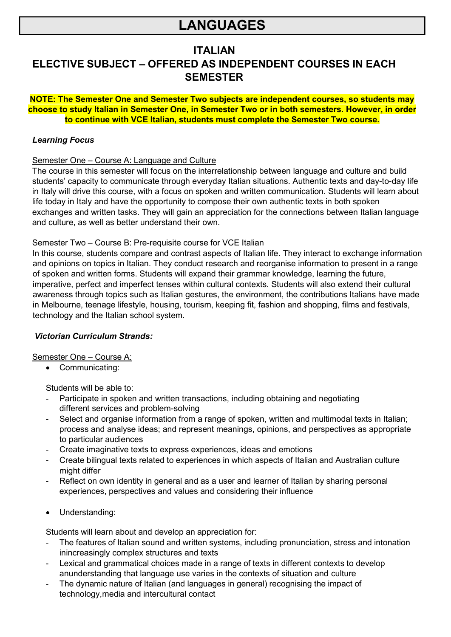### **ITALIAN**

## **ELECTIVE SUBJECT – OFFERED AS INDEPENDENT COURSES IN EACH SEMESTER**

#### **NOTE: The Semester One and Semester Two subjects are independent courses, so students may choose to study Italian in Semester One, in Semester Two or in both semesters. However, in order to continue with VCE Italian, students must complete the Semester Two course.**

#### *Learning Focus*

#### Semester One – Course A: Language and Culture

The course in this semester will focus on the interrelationship between language and culture and build students' capacity to communicate through everyday Italian situations. Authentic texts and day-to-day life in Italy will drive this course, with a focus on spoken and written communication. Students will learn about life today in Italy and have the opportunity to compose their own authentic texts in both spoken exchanges and written tasks. They will gain an appreciation for the connections between Italian language and culture, as well as better understand their own.

#### Semester Two – Course B: Pre-requisite course for VCE Italian

In this course, students compare and contrast aspects of Italian life. They interact to exchange information and opinions on topics in Italian. They conduct research and reorganise information to present in a range of spoken and written forms. Students will expand their grammar knowledge, learning the future, imperative, perfect and imperfect tenses within cultural contexts. Students will also extend their cultural awareness through topics such as Italian gestures, the environment, the contributions Italians have made in Melbourne, teenage lifestyle, housing, tourism, keeping fit, fashion and shopping, films and festivals, technology and the Italian school system.

#### *Victorian Curriculum Strands:*

#### Semester One – Course A:

• Communicating:

Students will be able to:

- Participate in spoken and written transactions, including obtaining and negotiating different services and problem-solving
- Select and organise information from a range of spoken, written and multimodal texts in Italian; process and analyse ideas; and represent meanings, opinions, and perspectives as appropriate to particular audiences
- Create imaginative texts to express experiences, ideas and emotions
- Create bilingual texts related to experiences in which aspects of Italian and Australian culture might differ
- Reflect on own identity in general and as a user and learner of Italian by sharing personal experiences, perspectives and values and considering their influence
- Understanding:

Students will learn about and develop an appreciation for:

- The features of Italian sound and written systems, including pronunciation, stress and intonation inincreasingly complex structures and texts
- Lexical and grammatical choices made in a range of texts in different contexts to develop anunderstanding that language use varies in the contexts of situation and culture
- The dynamic nature of Italian (and languages in general) recognising the impact of technology,media and intercultural contact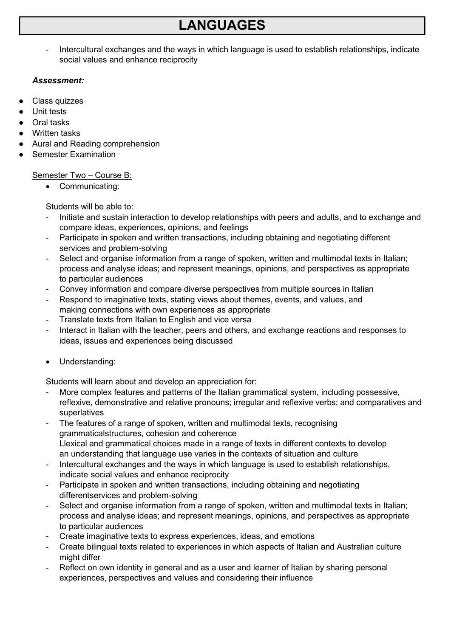Intercultural exchanges and the ways in which language is used to establish relationships, indicate social values and enhance reciprocity

#### *Assessment:*

- Class quizzes
- Unit tests
- Oral tasks
- Written tasks
- Aural and Reading comprehension
- **Semester Examination**

#### Semester Two – Course B:

• Communicating:

Students will be able to:

- Initiate and sustain interaction to develop relationships with peers and adults, and to exchange and compare ideas, experiences, opinions, and feelings
- Participate in spoken and written transactions, including obtaining and negotiating different services and problem-solving
- Select and organise information from a range of spoken, written and multimodal texts in Italian; process and analyse ideas; and represent meanings, opinions, and perspectives as appropriate to particular audiences
- Convey information and compare diverse perspectives from multiple sources in Italian
- Respond to imaginative texts, stating views about themes, events, and values, and making connections with own experiences as appropriate
- Translate texts from Italian to English and vice versa
- Interact in Italian with the teacher, peers and others, and exchange reactions and responses to ideas, issues and experiences being discussed
- Understanding:

Students will learn about and develop an appreciation for:

- More complex features and patterns of the Italian grammatical system, including possessive, reflexive, demonstrative and relative pronouns; irregular and reflexive verbs; and comparatives and superlatives
- The features of a range of spoken, written and multimodal texts, recognising grammaticalstructures, cohesion and coherence Llexical and grammatical choices made in a range of texts in different contexts to develop an understanding that language use varies in the contexts of situation and culture
- Intercultural exchanges and the ways in which language is used to establish relationships, indicate social values and enhance reciprocity
- Participate in spoken and written transactions, including obtaining and negotiating differentservices and problem-solving
- Select and organise information from a range of spoken, written and multimodal texts in Italian; process and analyse ideas; and represent meanings, opinions, and perspectives as appropriate to particular audiences
- Create imaginative texts to express experiences, ideas, and emotions
- Create bilingual texts related to experiences in which aspects of Italian and Australian culture might differ
- Reflect on own identity in general and as a user and learner of Italian by sharing personal experiences, perspectives and values and considering their influence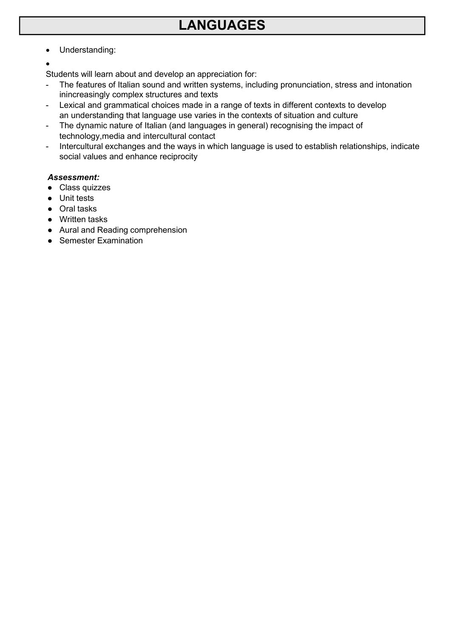- Understanding:
- •

Students will learn about and develop an appreciation for:

- The features of Italian sound and written systems, including pronunciation, stress and intonation inincreasingly complex structures and texts
- Lexical and grammatical choices made in a range of texts in different contexts to develop an understanding that language use varies in the contexts of situation and culture
- The dynamic nature of Italian (and languages in general) recognising the impact of technology,media and intercultural contact
- Intercultural exchanges and the ways in which language is used to establish relationships, indicate social values and enhance reciprocity

- Class quizzes
- Unit tests
- Oral tasks
- Written tasks
- Aural and Reading comprehension
- Semester Examination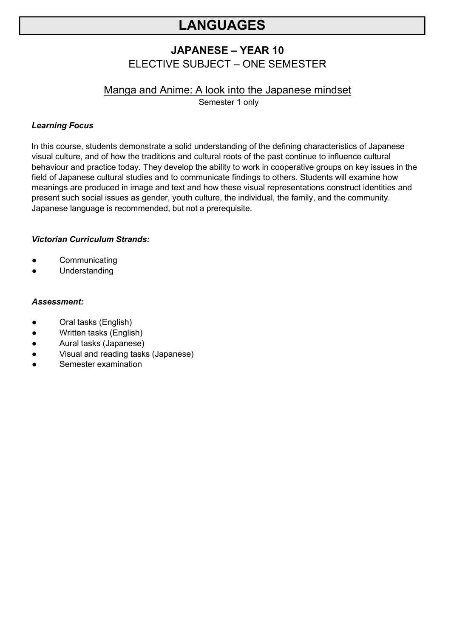### **JAPANESE – YEAR 10** ELECTIVE SUBJECT – ONE SEMESTER

## Manga and Anime: A look into the Japanese mindset

Semester 1 only

#### *Learning Focus*

In this course, students demonstrate a solid understanding of the defining characteristics of Japanese visual culture, and of how the traditions and cultural roots of the past continue to influence cultural behaviour and practice today. They develop the ability to work in cooperative groups on key issues in the field of Japanese cultural studies and to communicate findings to others. Students will examine how meanings are produced in image and text and how these visual representations construct identities and present such social issues as gender, youth culture, the individual, the family, and the community. Japanese language is recommended, but not a prerequisite.

#### *Victorian Curriculum Strands:*

- Communicating
- Understanding

- Oral tasks (English)
- Written tasks (English)
- Aural tasks (Japanese)
- Visual and reading tasks (Japanese)
- Semester examination